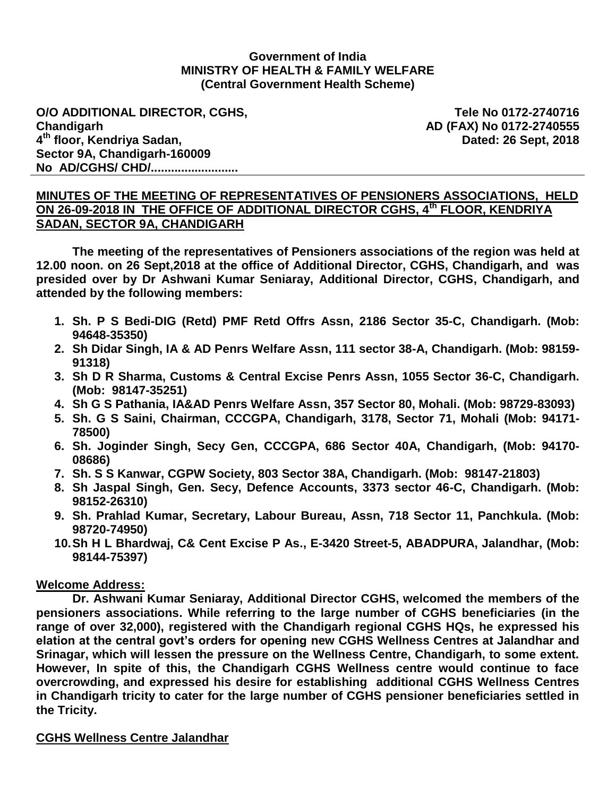### **Government of India MINISTRY OF HEALTH & FAMILY WELFARE (Central Government Health Scheme)**

**O/O ADDITIONAL DIRECTOR, CGHS, Chandigarh 4 th floor, Kendriya Sadan, Sector 9A, Chandigarh-160009 No AD/CGHS/ CHD/..........................**

**Tele No 0172-2740716 AD (FAX) No 0172-2740555 Dated: 26 Sept, 2018**

### **MINUTES OF THE MEETING OF REPRESENTATIVES OF PENSIONERS ASSOCIATIONS, HELD ON 26-09-2018 IN THE OFFICE OF ADDITIONAL DIRECTOR CGHS, 4th FLOOR, KENDRIYA SADAN, SECTOR 9A, CHANDIGARH**

**The meeting of the representatives of Pensioners associations of the region was held at 12.00 noon. on 26 Sept,2018 at the office of Additional Director, CGHS, Chandigarh, and was presided over by Dr Ashwani Kumar Seniaray, Additional Director, CGHS, Chandigarh, and attended by the following members:**

- **1. Sh. P S Bedi-DIG (Retd) PMF Retd Offrs Assn, 2186 Sector 35-C, Chandigarh. (Mob: 94648-35350)**
- **2. Sh Didar Singh, IA & AD Penrs Welfare Assn, 111 sector 38-A, Chandigarh. (Mob: 98159- 91318)**
- **3. Sh D R Sharma, Customs & Central Excise Penrs Assn, 1055 Sector 36-C, Chandigarh. (Mob: 98147-35251)**
- **4. Sh G S Pathania, IA&AD Penrs Welfare Assn, 357 Sector 80, Mohali. (Mob: 98729-83093)**
- **5. Sh. G S Saini, Chairman, CCCGPA, Chandigarh, 3178, Sector 71, Mohali (Mob: 94171- 78500)**
- **6. Sh. Joginder Singh, Secy Gen, CCCGPA, 686 Sector 40A, Chandigarh, (Mob: 94170- 08686)**
- **7. Sh. S S Kanwar, CGPW Society, 803 Sector 38A, Chandigarh. (Mob: 98147-21803)**
- **8. Sh Jaspal Singh, Gen. Secy, Defence Accounts, 3373 sector 46-C, Chandigarh. (Mob: 98152-26310)**
- **9. Sh. Prahlad Kumar, Secretary, Labour Bureau, Assn, 718 Sector 11, Panchkula. (Mob: 98720-74950)**
- **10.Sh H L Bhardwaj, C& Cent Excise P As., E-3420 Street-5, ABADPURA, Jalandhar, (Mob: 98144-75397)**

#### **Welcome Address:**

**Dr. Ashwani Kumar Seniaray, Additional Director CGHS, welcomed the members of the pensioners associations. While referring to the large number of CGHS beneficiaries (in the range of over 32,000), registered with the Chandigarh regional CGHS HQs, he expressed his elation at the central govt's orders for opening new CGHS Wellness Centres at Jalandhar and Srinagar, which will lessen the pressure on the Wellness Centre, Chandigarh, to some extent. However, In spite of this, the Chandigarh CGHS Wellness centre would continue to face overcrowding, and expressed his desire for establishing additional CGHS Wellness Centres in Chandigarh tricity to cater for the large number of CGHS pensioner beneficiaries settled in the Tricity.**

# **CGHS Wellness Centre Jalandhar**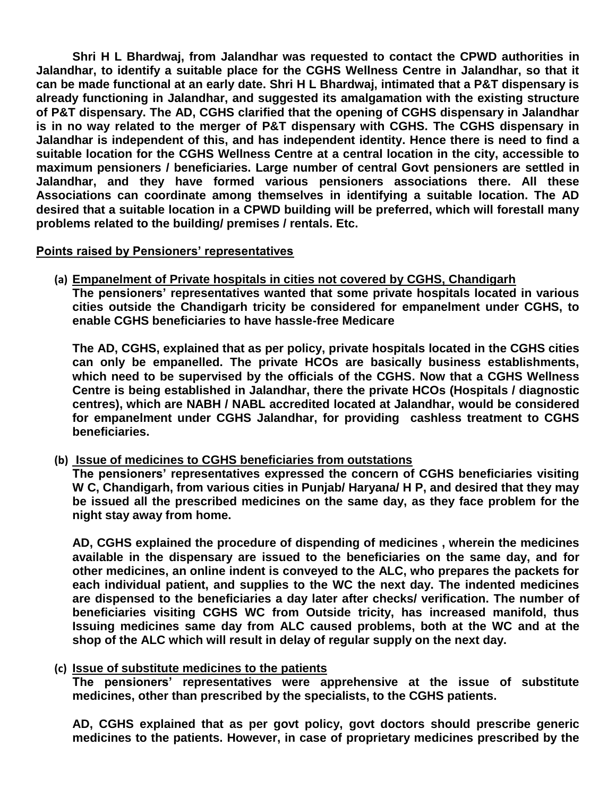**Shri H L Bhardwaj, from Jalandhar was requested to contact the CPWD authorities in Jalandhar, to identify a suitable place for the CGHS Wellness Centre in Jalandhar, so that it can be made functional at an early date. Shri H L Bhardwaj, intimated that a P&T dispensary is already functioning in Jalandhar, and suggested its amalgamation with the existing structure of P&T dispensary. The AD, CGHS clarified that the opening of CGHS dispensary in Jalandhar is in no way related to the merger of P&T dispensary with CGHS. The CGHS dispensary in Jalandhar is independent of this, and has independent identity. Hence there is need to find a suitable location for the CGHS Wellness Centre at a central location in the city, accessible to maximum pensioners / beneficiaries. Large number of central Govt pensioners are settled in Jalandhar, and they have formed various pensioners associations there. All these Associations can coordinate among themselves in identifying a suitable location. The AD desired that a suitable location in a CPWD building will be preferred, which will forestall many problems related to the building/ premises / rentals. Etc.**

# **Points raised by Pensioners' representatives**

**(a) Empanelment of Private hospitals in cities not covered by CGHS, Chandigarh The pensioners' representatives wanted that some private hospitals located in various cities outside the Chandigarh tricity be considered for empanelment under CGHS, to enable CGHS beneficiaries to have hassle-free Medicare**

**The AD, CGHS, explained that as per policy, private hospitals located in the CGHS cities can only be empanelled. The private HCOs are basically business establishments, which need to be supervised by the officials of the CGHS. Now that a CGHS Wellness Centre is being established in Jalandhar, there the private HCOs (Hospitals / diagnostic centres), which are NABH / NABL accredited located at Jalandhar, would be considered for empanelment under CGHS Jalandhar, for providing cashless treatment to CGHS beneficiaries.**

**(b) Issue of medicines to CGHS beneficiaries from outstations**

**The pensioners' representatives expressed the concern of CGHS beneficiaries visiting W C, Chandigarh, from various cities in Punjab/ Haryana/ H P, and desired that they may be issued all the prescribed medicines on the same day, as they face problem for the night stay away from home.**

**AD, CGHS explained the procedure of dispending of medicines , wherein the medicines available in the dispensary are issued to the beneficiaries on the same day, and for other medicines, an online indent is conveyed to the ALC, who prepares the packets for each individual patient, and supplies to the WC the next day. The indented medicines are dispensed to the beneficiaries a day later after checks/ verification. The number of beneficiaries visiting CGHS WC from Outside tricity, has increased manifold, thus Issuing medicines same day from ALC caused problems, both at the WC and at the shop of the ALC which will result in delay of regular supply on the next day.**

**(c) Issue of substitute medicines to the patients**

**The pensioners' representatives were apprehensive at the issue of substitute medicines, other than prescribed by the specialists, to the CGHS patients.**

**AD, CGHS explained that as per govt policy, govt doctors should prescribe generic medicines to the patients. However, in case of proprietary medicines prescribed by the**